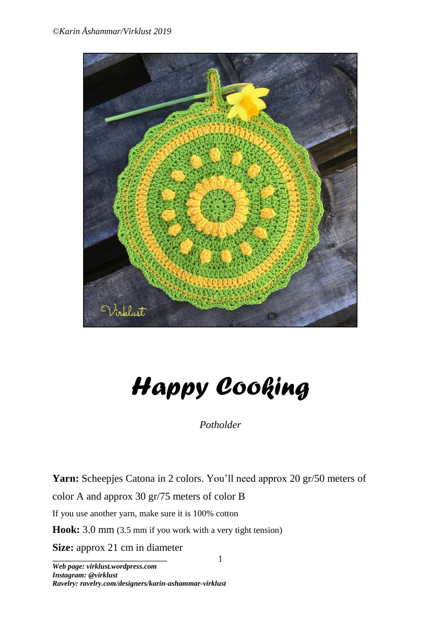

# *Happy Cooking*

*Potholder*

Yarn: Scheepjes Catona in 2 colors. You'll need approx 20 gr/50 meters of color A and approx 30 gr/75 meters of color B If you use another yarn, make sure it is 100% cotton

1

**Hook:** 3.0 mm (3.5 mm if you work with a very tight tension)

**\_\_\_\_\_\_\_\_\_\_\_\_\_\_\_\_\_\_\_\_\_\_\_\_\_\_\_\_\_\_\_ Size:** approx 21 cm in diameter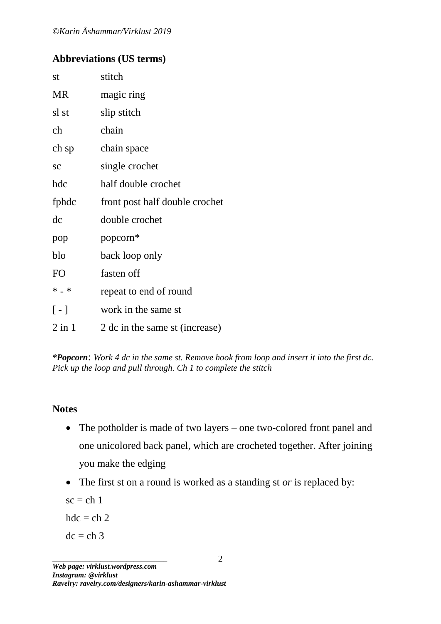# **Abbreviations (US terms)**

| st                | stitch                         |
|-------------------|--------------------------------|
| <b>MR</b>         | magic ring                     |
| sl st             | slip stitch                    |
| ch                | chain                          |
| ch sp             | chain space                    |
| <b>SC</b>         | single crochet                 |
| hdc               | half double crochet            |
| fphdc             | front post half double crochet |
| dc                | double crochet                 |
| pop               | popcorn*                       |
| blo               | back loop only                 |
| F <sub>O</sub>    | fasten off                     |
| $* - *$           | repeat to end of round         |
| $\lceil - \rceil$ | work in the same st            |
| $2$ in $1$        | 2 dc in the same st (increase) |

*\*Popcorn*: *Work 4 dc in the same st. Remove hook from loop and insert it into the first dc. Pick up the loop and pull through. Ch 1 to complete the stitch*

### **Notes**

- The potholder is made of two layers one two-colored front panel and one unicolored back panel, which are crocheted together. After joining you make the edging
- The first st on a round is worked as a standing st *or* is replaced by:

 $sc = ch 1$ 

 $hdc = ch 2$ 

 $dc = ch 3$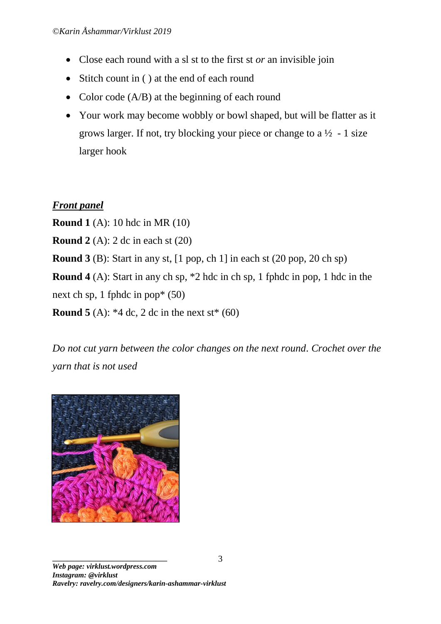- Close each round with a sl st to the first st *or* an invisible join
- Stitch count in ( ) at the end of each round
- Color code (A/B) at the beginning of each round
- Your work may become wobbly or bowl shaped, but will be flatter as it grows larger. If not, try blocking your piece or change to a  $\frac{1}{2}$  - 1 size larger hook

# *Front panel*

**Round 1** (A): 10 hdc in MR (10)

**Round 2** (A): 2 dc in each st (20)

**Round 3** (B): Start in any st, [1 pop, ch 1] in each st (20 pop, 20 ch sp)

**Round 4** (A): Start in any ch sp, \*2 hdc in ch sp, 1 fphdc in pop, 1 hdc in the next ch sp, 1 fphdc in pop\* (50)

**Round 5** (A):  $*4$  dc, 2 dc in the next st $*(60)$ 

*Do not cut yarn between the color changes on the next round. Crochet over the yarn that is not used*



**\_\_\_\_\_\_\_\_\_\_\_\_\_\_\_\_\_\_\_\_\_\_\_\_\_\_\_\_\_\_\_** *Web page: virklust.wordpress.com Instagram: @virklust Ravelry: ravelry.com/designers/karin-ashammar-virklust*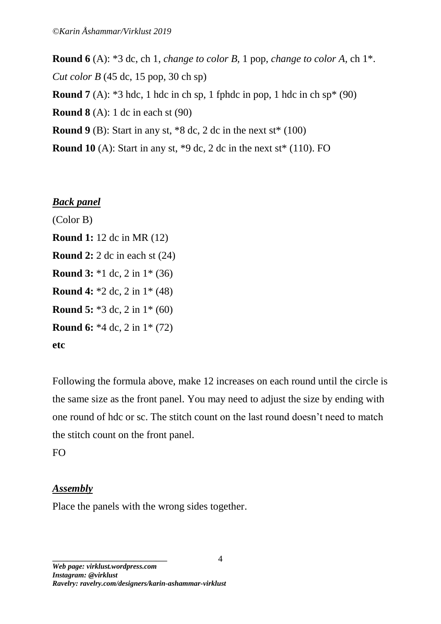**Round 6** (A): \*3 dc, ch 1, *change to color B,* 1 pop, *change to color A,* ch 1\*. *Cut color B* (45 dc, 15 pop, 30 ch sp)

**Round**  $7(A)$ : \*3 hdc, 1 hdc in ch sp, 1 fphdc in pop, 1 hdc in ch sp\* (90)

**Round 8** (A): 1 dc in each st (90)

**Round**  $9$  (B): Start in any st,  $*8$  dc, 2 dc in the next st $*(100)$ 

**Round 10** (A): Start in any st, \*9 dc, 2 dc in the next st\* (110). FO

### *Back panel*

(Color B) **Round 1:** 12 dc in MR (12) **Round 2:** 2 dc in each st (24) **Round 3:** \*1 dc, 2 in 1\* (36) **Round 4:** \*2 dc, 2 in 1\* (48) **Round 5:** \*3 dc, 2 in 1\* (60) **Round 6:** \*4 dc, 2 in 1\* (72) **etc**

Following the formula above, make 12 increases on each round until the circle is the same size as the front panel. You may need to adjust the size by ending with one round of hdc or sc. The stitch count on the last round doesn't need to match the stitch count on the front panel.

FO

### *Assembly*

Place the panels with the wrong sides together.

**\_\_\_\_\_\_\_\_\_\_\_\_\_\_\_\_\_\_\_\_\_\_\_\_\_\_\_\_\_\_\_** *Web page: virklust.wordpress.com Instagram: @virklust Ravelry: ravelry.com/designers/karin-ashammar-virklust*